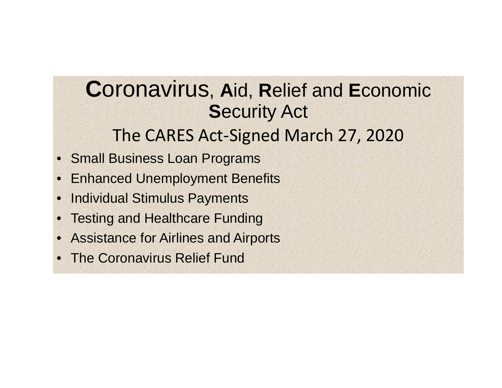#### The CARES Act‐Signed March 27, 2020 **C**oronavirus, **A**id, **R**elief and **E**conomic **S**ecurity Act

- Small Business Loan Programs
- •Enhanced Unemployment Benefits
- $\bullet$ Individual Stimulus Payments
- •Testing and Healthcare Funding
- •Assistance for Airlines and Airports
- •The Coronavirus Relief Fund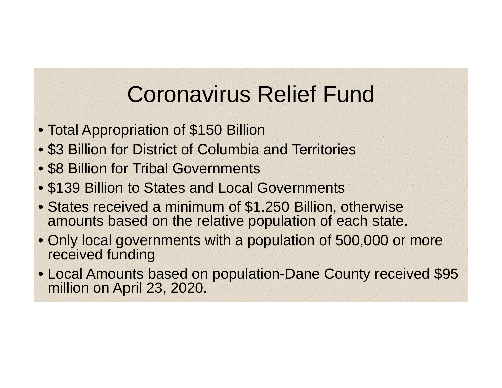### Coronavirus Relief Fund

- Total Appropriation of \$150 Billion
- \$3 Billion for District of Columbia and Territories
- \$8 Billion for Tribal Governments
- \$139 Billion to States and Local Governments
- States received a minimum of \$1.250 Billion, otherwise amounts based on the relative population of each state.
- Only local governments with a population of 500,000 or more received funding
- Local Amounts based on population-Dane County received \$95 million on April 23, 2020.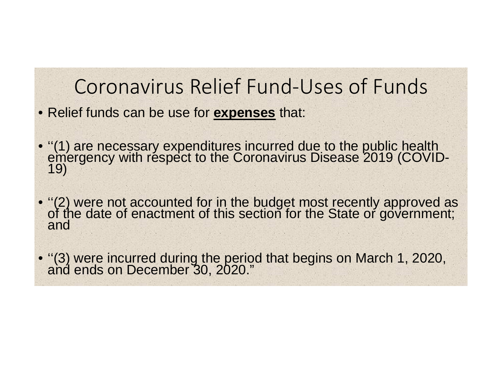#### Coronavirus Relief Fund‐Uses of Funds

- Relief funds can be use for **expenses** that:
- ''(1) are necessary expenditures incurred due to the public health emergency with respect to the Coronavirus Disease 2019 (COVID- 19)
- "(2) were not accounted for in the budget most recently approved as<br>of the date of enactment of this section for the State or government;<br>and

• "(3) were incurred during the period that begins on March 1, 2020, and ends on December 30, 2020."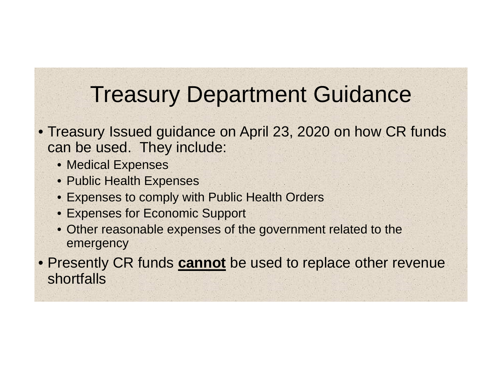### Treasury Department Guidance

- Treasury Issued guidance on April 23, 2020 on how CR funds can be used. They include:
	- Medical Expenses
	- Public Health Expenses
	- Expenses to comply with Public Health Orders
	- Expenses for Economic Support
	- Other reasonable expenses of the government related to the emergency

• Presently CR funds **cannot** be used to replace other revenue shortfalls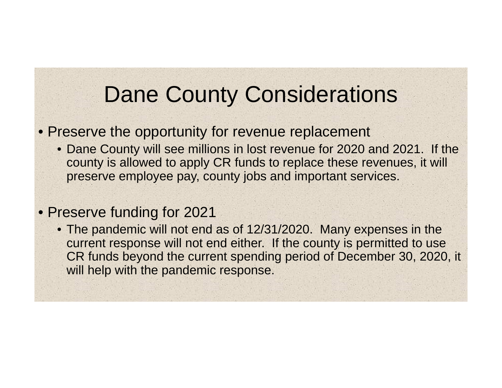# Dane County Considerations

#### • Preserve the opportunity for revenue replacement

• Dane County will see millions in lost revenue for 2020 and 2021. If the county is allowed to apply CR funds to replace these revenues, it will preserve employee pay, county jobs and important services.

#### • Preserve funding for 2021

• The pandemic will not end as of 12/31/2020. Many expenses in the current response will not end either. If the county is permitted to use CR funds beyond the current spending period of December 30, 2020, it will help with the pandemic response.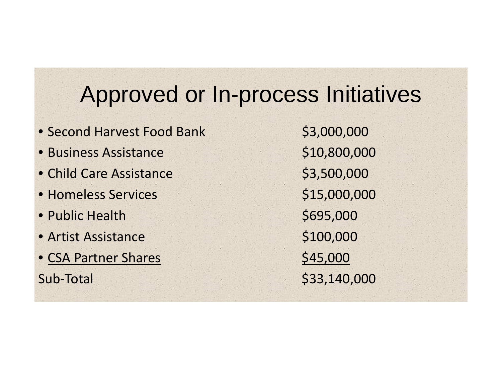# Approved or In-process Initiatives

- Second Harvest Food Bank \$3,000,000
- Business
- Child Care Assistance \$3,500,000
- Homeless
- Public
- Artist Assistance \$100,000
- CSA Partner Shares \$45,000 Sub-Total

 Assistance \$10,800,000 \$15,000,000 \$695,000 ‐Total \$33,140,000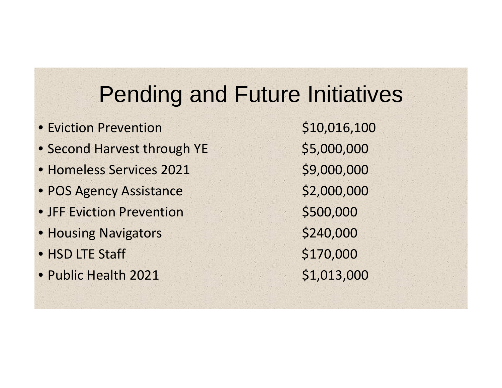# Pending and Future Initiatives

- Eviction• Second Harvest through YE \$5,000,000 • Homeless Services 2021 \$9,000,000 • POS Agency Assistance \$2,000,000 • JFF Eviction Prevention \$500,000 • Housing Navigators \$240,000  $\bullet$  HSD LTE Staff  $\phantom{000}$  \$170,000
- Public Health

\$10,016,100 \$1,013,000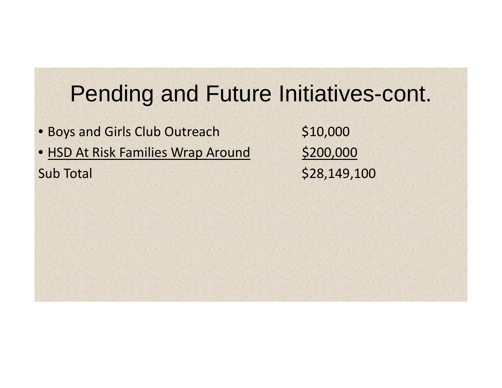### Pending and Future Initiatives-cont.

• Boys and Girls Club Outreach \$10,000 • HSD At Risk Families Wrap Around \$200,000 **Sub Total** 

\$28,149,100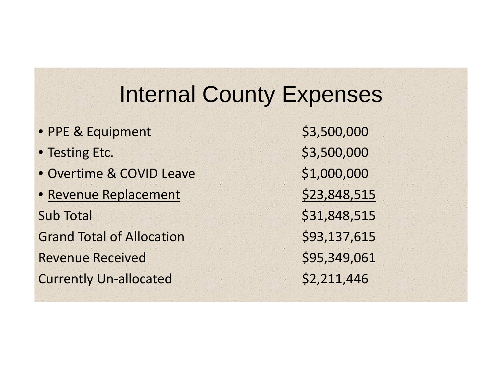### Internal County Expenses

• PPE & Equipment \$3,500,000 • Testing Etc. 6 19 and 10 and 10 and 10 and 10 and 10 and 10 and 10 and 10 and 10 and 10 and 10 and 10 and 10 • Overtime & COVID Leave \$1,000,000 • Revenue Replacement 523,848,515 Sub Total Grand Total of Allocation \$93,137,615 Revenue**Currently Un-allocated** 

\$31,848,515 Received \$95,349,061  $$2,211,446$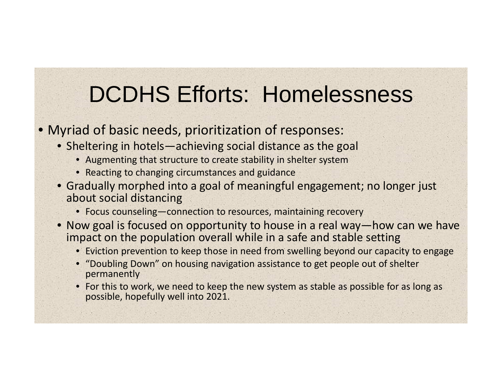# DCDHS Efforts: Homelessness

#### • Myriad of basic needs, prioritization of responses:

- Sheltering in hotels—achieving social distance as the goal
	- Augmenting that structure to create stability in shelter system
	- Reacting to changing circumstances and guidance
- Gradually morphed into a goal of meaningful engagement; no longer just about social distancing
	- Focus counseling—connection to resources, maintaining recovery
- Now goal is focused on opportunity to house in a real way—how can we have impact on the population overall while in a safe and stable setting
	- Eviction prevention to keep those in need from swelling beyond our capacity to engage
	- "Doubling Down" on housing navigation assistance to get people out of shelter permanently
	- For this to work, we need to keep the new system as stable as possible for as long as possible, hopefully well into 2021.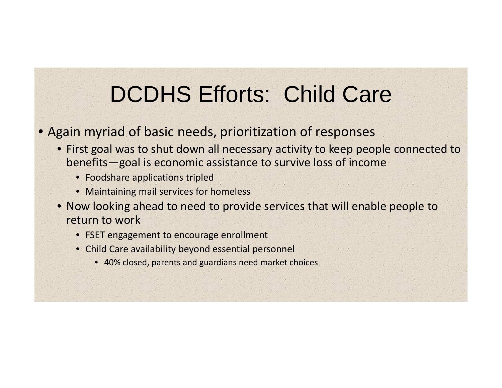# DCDHS Efforts: Child Care

#### • Again myriad of basic needs, prioritization of responses

- First goal was to shut down all necessary activity to keep people connected to benefits—goal is economic assistance to survive loss of income
	- Foodshare applications tripled
	- Maintaining mail services for homeless
- Now looking ahead to need to provide services that will enable people to return to work
	- FSET engagement to encourage enrollment
	- Child Care availability beyond essential personnel
		- 40% closed, parents and guardians need market choices